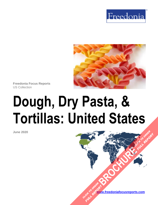



**Freedonia Focus Reports** US Collection

# **Dough, Dry Pasta, & Tortillas: United States**

**June 2020**

**[www.freedoniafocusreports.com](https://www.freedoniafocusreports.com/redirect.asp?progid=89534&url=/)** CLICK TO ORDER **FULL REPORT** 

**[BROCHURE](https://www.freedoniafocusreports.com/Dough-Dry-Pasta-Tortillas-United-States-FF10055/?progid=89541) CLICK TO ORDER** 

**FULL REPORT**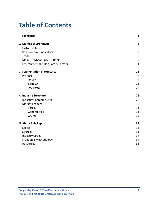# **Table of Contents**

| 1. Highlights                                 | 3  |
|-----------------------------------------------|----|
| 2. Market Environment                         | 5  |
| <b>Historical Trends</b>                      | 5  |
| Key Economic Indicators                       | 7  |
| Trade                                         | 8  |
| Maize & Wheat Price Outlook                   | 9  |
| <b>Environmental &amp; Regulatory Factors</b> | 11 |
| 3. Segmentation & Forecasts                   | 13 |
| Products                                      | 13 |
| Dough                                         | 17 |
| <b>Tortillas</b>                              | 21 |
| Dry Pasta                                     | 22 |
| 4. Industry Structure                         | 26 |
| <b>Industry Characteristics</b>               | 26 |
| <b>Market Leaders</b>                         | 30 |
| <b>Barilla</b>                                | 31 |
| <b>General Mills</b>                          | 31 |
| Gruma                                         | 32 |
| 5. About This Report                          | 33 |
| Scope                                         | 33 |
| Sources                                       | 33 |
| <b>Industry Codes</b>                         | 34 |
| Freedonia Methodology                         | 34 |
| Resources                                     | 36 |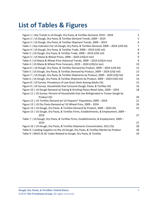# **List of Tables & Figures**

| Figure 1   Key Trends in US Dough, Dry Pasta, & Tortillas Demand, 2019 - 2024                | 3              |
|----------------------------------------------------------------------------------------------|----------------|
| Figure 2   US Dough, Dry Pasta, & Tortillas Demand Trends, 2009 - 2019                       | 5              |
| Figure 3   US Dough, Dry Pasta, & Tortillas Shipment Trends, 2009 - 2019                     | 6              |
| Table 1   Key Indicators for US Dough, Dry Pasta, & Tortillas Demand, 2009 - 2024 (US\$ bil) | $\overline{7}$ |
| Figure 4   US Dough, Dry Pasta, & Tortillas Trade, 2009 - 2019 (US\$ mil)                    | 8              |
| Table 2   US Dough, Dry Pasta, & Tortillas Trade, 2009 - 2019 (US\$ mil)                     | 8              |
| Figure 5   US Maize & Wheat Prices, 2009 - 2024 (US\$/m ton)                                 | 9              |
| Table 3   US Maize & Wheat Price Historical Trends, 2009 - 2019 (US\$/m ton)                 | 9              |
| Table 4   US Maize & Wheat Price Forecasts, 2019 - 2024 (US\$/m ton)                         | 10             |
| Figure 6   US Dough, Dry Pasta, & Tortillas Demand by Product, 2009 - 2024 (US\$ bil)        | 13             |
| Table 5   US Dough, Dry Pasta, & Tortillas Demand by Product, 2009 - 2024 (US\$ mil)         | 13             |
| Figure 7   US Dough, Dry Pasta, & Tortillas Shipments by Product, 2009 - 2024 (US\$ bil)     | 14             |
| Table 6   US Dough, Dry Pasta, & Tortillas Shipments by Product, 2009 - 2024 (US\$ mil)      | 14             |
| Figure 8   US Survey: Prevalence of Low-Grain Diets Among Adults (%)                         | 15             |
| Figure 9   US Survey: Households that Consume Dough, Pasta, & Tortillas (%)                  | 16             |
| Figure 10   US Dough Demand w/ Eating & Drinking Places Retail Sales, 2009 - 2024            | 18             |
| Figure 11   US Survey: Percent of Households that Use Refrigerated or Frozen Dough by        |                |
| Product (%)                                                                                  | 20             |
| Figure 12   US Tortillas Demand w/ US Hispanic* Population, 2009 - 2024                      | 21             |
| Figure 13   US Dry Pasta Demand w/ US Wheat Price, 2009 - 2024                               | 24             |
| Figure 14   US Dough, Dry Pasta, & Tortillas Demand by Product, 2009 - 2024 (%)              | 25             |
| Figure 15   US Dough, Dry Pasta, & Tortillas Firms, Establishments, & Employment, 2009 -     |                |
| 2019                                                                                         | 27             |
| Table 7   US Dough, Dry Pasta, & Tortillas Firms, Establishments, & Employment, 2009 -       |                |
| 2019                                                                                         | 27             |
| Figure 16   US Dough, Dry Pasta, & Tortillas Shipments Concentration, 2012 (%)               | 28             |
| Table 8   Leading Suppliers to the US Dough, Dry Pasta, & Tortillas Market by Product        | 30             |
| Table 9   NAICS & SIC Codes Related to Dough, Dry Pasta, & Tortillas                         | 34             |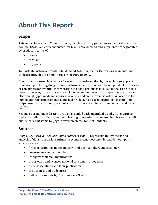# <span id="page-3-0"></span>**About This Report**

## <span id="page-3-1"></span>**Scope**

This report forecasts to 2024 US dough, tortillas, and dry pasta demand and shipments in nominal US dollars at the manufacturer level. Total demand and shipments are segmented by product in terms of:

- dough
- tortillas
- dry pasta

To illustrate historical trends, total demand, total shipments, the various segments, and trade are provided in annual series from 2009 to 2019.

Dough manufactured in a factory for eventual transformation by a franchise (e.g., pizza franchisee purchasing dough from franchisor's factories) or sold to independent businesses or consumers for eventual incorporation in a food product is included in the scope of this report. However, frozen pizzas are excluded from the scope of this report, as are pizza and other dough types made in factories, bakeries, and on the premises of retail locations for immediate transformation into a finished product. Also excluded are tortilla chips and strips. Re-exports of dough, dry pasta, and tortillas are excluded from demand and trade figures.

Key macroeconomic indicators are also provided with quantified trends. Other various topics, including profiles of pertinent leading companies, are covered in this report. A full outline of report items by page is available in the Table of Contents.

## <span id="page-3-2"></span>**Sources**

*Dough, Dry Pasta, & Tortillas: United States* (FF10055) represents the synthesis and analysis of data from various primary, secondary, macroeconomic, and demographic sources, such as:

- firms participating in the industry, and their suppliers and customers
- government/public agencies
- intergovernmental organizations
- proprietary and licensed national consumer survey data
- trade associations and their publications
- the business and trade press
- indicator forecasts by The Freedonia Group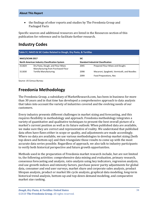• the findings of other reports and studies by The Freedonia Group and Packaged Facts

Specific sources and additional resources are listed in the Resources section of this publication for reference and to facilitate further research.

## <span id="page-4-0"></span>**Industry Codes**

<span id="page-4-2"></span>

| Table 9   NAICS & SIC Codes Related to Dough, Dry Pasta, & Tortillas                              |                                                                         |            |                                              |  |  |
|---------------------------------------------------------------------------------------------------|-------------------------------------------------------------------------|------------|----------------------------------------------|--|--|
| <b>NAICS/SCIAN 2017</b>                                                                           |                                                                         | <b>SIC</b> |                                              |  |  |
| <b>North American Industry Classification System</b><br><b>Standard Industrial Classification</b> |                                                                         |            |                                              |  |  |
| 311824                                                                                            | Dry Pasta, Dough, and Flour Mixes<br>Manufacturing from Purchased Flour | 2045       | Prepared Flour Mixes and Doughs              |  |  |
| 311830                                                                                            | <b>Tortilla Manufacturing</b>                                           | 2098       | Macaroni, Spaghetti, Vermicelli, and Noodles |  |  |
|                                                                                                   |                                                                         | 2099       | Food Preparations, Nec                       |  |  |

Source: US Census Bureau

# <span id="page-4-1"></span>**Freedonia Methodology**

The Freedonia Group, a subsidiary of MarketResearch.com, has been in business for more than 30 years and in that time has developed a comprehensive approach to data analysis that takes into account the variety of industries covered and the evolving needs of our customers.

Every industry presents different challenges in market sizing and forecasting, and this requires flexibility in methodology and approach. Freedonia methodology integrates a variety of quantitative and qualitative techniques to present the best overall picture of a market's current position as well as its future outlook: When published data are available, we make sure they are correct and representative of reality. We understand that published data often have flaws either in scope or quality, and adjustments are made accordingly. Where no data are available, we use various methodologies to develop market sizing (both top-down and bottom-up) and then triangulate those results to come up with the most accurate data series possible. Regardless of approach, we also talk to industry participants to verify both historical perspective and future growth opportunities.

Methods used in the preparation of Freedonia market research include, but are not limited to, the following activities: comprehensive data mining and evaluation, primary research, consensus forecasting and analysis, ratio analysis using key indicators, regression analysis, end use growth indices and intensity factors, purchase power parity adjustments for global data, consumer and end user surveys, market share and corporate sales analysis, product lifespan analysis, product or market life cycle analysis, graphical data modeling, long-term historical trend analysis, bottom-up and top-down demand modeling, and comparative market size ranking.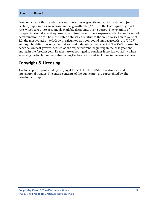#### **About This Report**

Freedonia quantifies trends in various measures of growth and volatility. Growth (or decline) expressed as an average annual growth rate (AAGR) is the least squares growth rate, which takes into account all available datapoints over a period. The volatility of datapoints around a least squares growth trend over time is expressed via the coefficient of determination, or  $r^2$ . The most stable data series relative to the trend carries an  $r^2$  value of 1.0; the most volatile – 0.0. Growth calculated as a compound annual growth rate (CAGR) employs, by definition, only the first and last datapoints over a period. The CAGR is used to describe forecast growth, defined as the expected trend beginning in the base year and ending in the forecast year. Readers are encouraged to consider historical volatility when assessing particular annual values along the forecast trend, including in the forecast year.

## **Copyright & Licensing**

The full report is protected by copyright laws of the United States of America and international treaties. The entire contents of the publication are copyrighted by The Freedonia Group.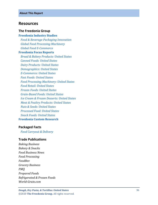#### <span id="page-6-0"></span>**Resources**

#### **The Freedonia Group**

**[Freedonia Industry Studies](http://www.freedoniagroup.com/Home.aspx?ReferrerId=FL-Focus)**  *[Food & Beverage Packaging Innovation](http://www.freedoniagroup.com/DocumentDetails.aspx?ReferrerId=FL-FOCUS&studyid=3736) [Global Food Processing Machinery](http://www.freedoniagroup.com/DocumentDetails.aspx?ReferrerId=FL-FOCUS&studyid=3809) [Global Food E](http://www.freedoniagroup.com/DocumentDetails.aspx?ReferrerId=FL-FOCUS&studyid=3724) -Commerce* **[Freedonia Focus Reports](https://www.freedoniafocusreports.com/redirect.asp?progid=89534&url=/)**  *[Bread & Bakery Products: United States](https://www.freedoniafocusreports.com/Bread-Bakery-Products-United-States-FF10056/?progid=89534) [Canned Foods: United States](https://www.freedoniafocusreports.com/Canned-Foods-United-States-FF10012/?progid=89534) [Dairy Products: United States](https://www.freedoniafocusreports.com/Dairy-Products-United-States-FF10013/?progid=89534) [Demographics: United States](https://www.freedoniafocusreports.com/Demographics-United-States-FF95050/?progid=89534) E [-Commerce: United States](https://www.freedoniafocusreports.com/E-Commerce-United-States-FF90043/?progid=89534) [Fast Foods: United States](https://www.freedoniafocusreports.com/Fast-Food-United-States-FF95072/?progid=89534) [Food Processing Machinery: United States](https://www.freedoniafocusreports.com/Food-Processing-Machinery-United-States-FF75029/?progid=89534) [Food Retail: United States](https://www.freedoniafocusreports.com/Food-Retail-United-States-FF10061/?progid=89534) [Frozen Foods: United States](https://www.freedoniafocusreports.com/Frozen-Foods-United-States-FF10015/?progid=89534) Grain [-Based Foods: United States](https://www.freedoniafocusreports.com/Grain-Based-Foods-United-States-FF10016/?progid=89534) [Ice Cream & Frozen Desserts: United States](https://www.freedoniafocusreports.com/Ice-Cream-Frozen-Desserts-United-States-FF10043/?progid=89534) [Meat & Poultry Products: United States](https://www.freedoniafocusreports.com/Meat-Poultry-Products-United-States-FF10017/?progid=89534) [Nuts & Seeds: United States](https://www.freedoniafocusreports.com/Nuts-Seeds-United-States-FF10054/?progid=89534) [Processed Food: United States](https://www.freedoniafocusreports.com/Processed-Food-United-States-FF10024/?progid=89534) [Snack Foods: United States](https://www.freedoniafocusreports.com/Snack-Foods-United-States-FF10025/?progid=89534)* **[Freedonia Custom Research](http://www.freedoniagroup.com/CustomResearch.aspx?ReferrerId=FL-Focus)**

#### **Packaged Facts**

 *[Food Carryout & Delivery](https://www.packagedfacts.com/Food-Carryout-Delivery-13207724/?progid=89534)*

#### **Trade Publications**

*Baking Business Bakery & Snacks Food Business News Food Processing FoodBev Grocery Business PMQ Prepared Foods Refrigerated & Frozen Foods World -Grain.com*